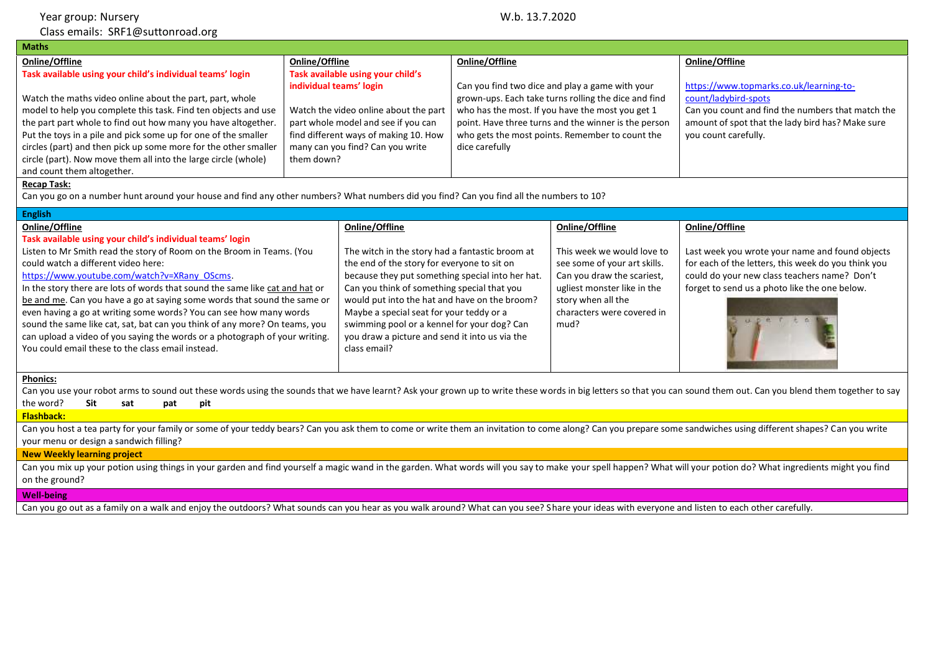| Year group: Nursery                                                                                                                                                                                                                                                                                                                                                                                                              | W.b. 13.7.2020                                                                                                                                                          |                                                                                                                                                                                                                                       |                                                                                                                                                       |  |
|----------------------------------------------------------------------------------------------------------------------------------------------------------------------------------------------------------------------------------------------------------------------------------------------------------------------------------------------------------------------------------------------------------------------------------|-------------------------------------------------------------------------------------------------------------------------------------------------------------------------|---------------------------------------------------------------------------------------------------------------------------------------------------------------------------------------------------------------------------------------|-------------------------------------------------------------------------------------------------------------------------------------------------------|--|
| Class emails: SRF1@suttonroad.org                                                                                                                                                                                                                                                                                                                                                                                                |                                                                                                                                                                         |                                                                                                                                                                                                                                       |                                                                                                                                                       |  |
| <b>Maths</b>                                                                                                                                                                                                                                                                                                                                                                                                                     |                                                                                                                                                                         |                                                                                                                                                                                                                                       |                                                                                                                                                       |  |
| Online/Offline                                                                                                                                                                                                                                                                                                                                                                                                                   | Online/Offline                                                                                                                                                          | Online/Offline                                                                                                                                                                                                                        | Online/Offline                                                                                                                                        |  |
| Task available using your child's individual teams' login                                                                                                                                                                                                                                                                                                                                                                        | Task available using your child's<br>individual teams' login                                                                                                            | Can you find two dice and play a game with your                                                                                                                                                                                       | https://www.topmarks.co.uk/learning-to-                                                                                                               |  |
| Watch the maths video online about the part, part, whole<br>model to help you complete this task. Find ten objects and use<br>the part part whole to find out how many you have altogether.<br>Put the toys in a pile and pick some up for one of the smaller<br>circles (part) and then pick up some more for the other smaller<br>circle (part). Now move them all into the large circle (whole)<br>and count them altogether. | Watch the video online about the part<br>part whole model and see if you can<br>find different ways of making 10. How<br>many can you find? Can you write<br>them down? | grown-ups. Each take turns rolling the dice and find<br>who has the most. If you have the most you get 1<br>point. Have three turns and the winner is the person<br>who gets the most points. Remember to count the<br>dice carefully | count/ladybird-spots<br>Can you count and find the numbers that match the<br>amount of spot that the lady bird has? Make sure<br>you count carefully. |  |

## **Recap Task:**

Can you go on a number hunt around your house and find any other numbers? What numbers did you find? Can you find all the numbers to 10?

| <b>English</b>                                                               |                                                  |                              |                                                     |
|------------------------------------------------------------------------------|--------------------------------------------------|------------------------------|-----------------------------------------------------|
| Online/Offline                                                               | Online/Offline                                   | Online/Offline               | Online/Offline                                      |
| Task available using your child's individual teams' login                    |                                                  |                              |                                                     |
| Listen to Mr Smith read the story of Room on the Broom in Teams. (You        | The witch in the story had a fantastic broom at  | This week we would love to   | Last week you wrote your name and found objects     |
| could watch a different video here:                                          | the end of the story for everyone to sit on      | see some of your art skills. | for each of the letters, this week do you think you |
| https://www.youtube.com/watch?v=XRany OScms.                                 | because they put something special into her hat. | Can you draw the scariest,   | could do your new class teachers name? Don't        |
| In the story there are lots of words that sound the same like cat and hat or | Can you think of something special that you      | ugliest monster like in the  | forget to send us a photo like the one below.       |
| be and me. Can you have a go at saying some words that sound the same or     | would put into the hat and have on the broom?    | story when all the           |                                                     |
| even having a go at writing some words? You can see how many words           | Maybe a special seat for your teddy or a         | characters were covered in   |                                                     |
| sound the same like cat, sat, bat can you think of any more? On teams, you   | swimming pool or a kennel for your dog? Can      | mud?                         |                                                     |
| can upload a video of you saying the words or a photograph of your writing.  | you draw a picture and send it into us via the   |                              |                                                     |
| You could email these to the class email instead.                            | class email?                                     |                              |                                                     |
|                                                                              |                                                  |                              |                                                     |

## **Phonics:**

Can you use your robot arms to sound out these words using the sounds that we have learnt? Ask your grown up to write these words in big letters so that you can sound them out. Can you blend them together to say the word? **Sit sat pat pit**

**Flashback:**

Can you host a tea party for your family or some of your teddy bears? Can you ask them to come or write them an invitation to come along? Can you prepare some sandwiches using different shapes? Can you write your menu or design a sandwich filling?

## **New Weekly learning project**

Can you mix up your potion using things in your garden and find yourself a magic wand in the garden. What words will you say to make your spell happen? What will your potion do? What ingredients might you find on the ground?

## **Well-being**

Can you go out as a family on a walk and enjoy the outdoors? What sounds can you hear as you walk around? What can you see? Share your ideas with everyone and listen to each other carefully.